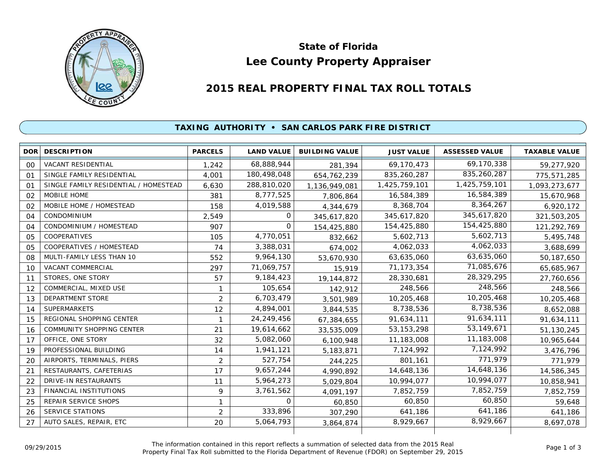

# **Lee County Property Appraiser State of Florida**

## **2015 REAL PROPERTY FINAL TAX ROLL TOTALS**

### **TAXING AUTHORITY • SAN CARLOS PARK FIRE DISTRICT**

| <b>DOR</b>     | <b>DESCRIPTION</b>                    | <b>PARCELS</b> | <b>LAND VALUE</b> | <b>BUILDING VALUE</b> | <b>JUST VALUE</b> | <b>ASSESSED VALUE</b> | <b>TAXABLE VALUE</b> |
|----------------|---------------------------------------|----------------|-------------------|-----------------------|-------------------|-----------------------|----------------------|
| 00             | <b>VACANT RESIDENTIAL</b>             | 1,242          | 68,888,944        | 281,394               | 69,170,473        | 69,170,338            | 59,277,920           |
| 01             | SINGLE FAMILY RESIDENTIAL             | 4,001          | 180,498,048       | 654,762,239           | 835,260,287       | 835,260,287           | 775,571,285          |
| O <sub>1</sub> | SINGLE FAMILY RESIDENTIAL / HOMESTEAD | 6,630          | 288,810,020       | 1,136,949,081         | 1,425,759,101     | 1,425,759,101         | 1,093,273,677        |
| 02             | MOBILE HOME                           | 381            | 8,777,525         | 7,806,864             | 16,584,389        | 16,584,389            | 15,670,968           |
| 02             | MOBILE HOME / HOMESTEAD               | 158            | 4,019,588         | 4,344,679             | 8,368,704         | 8,364,267             | 6,920,172            |
| 04             | <b>CONDOMINIUM</b>                    | 2,549          | 0                 | 345,617,820           | 345,617,820       | 345,617,820           | 321,503,205          |
| O <sub>4</sub> | CONDOMINIUM / HOMESTEAD               | 907            | $\Omega$          | 154,425,880           | 154,425,880       | 154,425,880           | 121,292,769          |
| 05             | <b>COOPERATIVES</b>                   | 105            | 4,770,051         | 832,662               | 5,602,713         | 5,602,713             | 5,495,748            |
| 05             | COOPERATIVES / HOMESTEAD              | 74             | 3,388,031         | 674,002               | 4,062,033         | 4,062,033             | 3,688,699            |
| 08             | MULTI-FAMILY LESS THAN 10             | 552            | 9,964,130         | 53,670,930            | 63,635,060        | 63,635,060            | 50,187,650           |
| 10             | VACANT COMMERCIAL                     | 297            | 71,069,757        | 15,919                | 71,173,354        | 71,085,676            | 65,685,967           |
| 11             | STORES, ONE STORY                     | 57             | 9,184,423         | 19, 144, 872          | 28,330,681        | 28,329,295            | 27,760,656           |
| 12             | COMMERCIAL, MIXED USE                 | 1              | 105,654           | 142,912               | 248,566           | 248,566               | 248,566              |
| 13             | <b>DEPARTMENT STORE</b>               | $\overline{2}$ | 6,703,479         | 3,501,989             | 10,205,468        | 10,205,468            | 10,205,468           |
| 14             | <b>SUPERMARKETS</b>                   | 12             | 4,894,001         | 3,844,535             | 8,738,536         | 8,738,536             | 8,652,088            |
| 15             | REGIONAL SHOPPING CENTER              | 1              | 24,249,456        | 67,384,655            | 91,634,111        | 91,634,111            | 91,634,111           |
| 16             | <b>COMMUNITY SHOPPING CENTER</b>      | 21             | 19,614,662        | 33,535,009            | 53, 153, 298      | 53,149,671            | 51,130,245           |
| 17             | OFFICE, ONE STORY                     | 32             | 5,082,060         | 6,100,948             | 11,183,008        | 11,183,008            | 10,965,644           |
| 19             | PROFESSIONAL BUILDING                 | 14             | 1,941,121         | 5,183,871             | 7,124,992         | 7,124,992             | 3,476,796            |
| 20             | AIRPORTS, TERMINALS, PIERS            | $\overline{2}$ | 527,754           | 244,225               | 801,161           | 771,979               | 771,979              |
| 21             | RESTAURANTS, CAFETERIAS               | 17             | 9,657,244         | 4,990,892             | 14,648,136        | 14,648,136            | 14,586,345           |
| 22             | <b>DRIVE-IN RESTAURANTS</b>           | 11             | 5,964,273         | 5,029,804             | 10,994,077        | 10,994,077            | 10,858,941           |
| 23             | <b>FINANCIAL INSTITUTIONS</b>         | 9              | 3,761,562         | 4,091,197             | 7,852,759         | 7,852,759             | 7,852,759            |
| 25             | <b>REPAIR SERVICE SHOPS</b>           | 1              | $\Omega$          | 60,850                | 60,850            | 60,850                | 59,648               |
| 26             | <b>SERVICE STATIONS</b>               | $\overline{2}$ | 333,896           | 307,290               | 641,186           | 641,186               | 641,186              |
| 27             | AUTO SALES, REPAIR, ETC               | 20             | 5,064,793         | 3,864,874             | 8,929,667         | 8,929,667             | 8,697,078            |
|                |                                       |                |                   |                       |                   |                       |                      |

The information contained in this report reflects a summation of selected data from the 2015 Real Ine information contained in this report reflects a summation of selected data from the 2015 Real<br>Property Final Tax Roll submitted to the Florida Department of Revenue (FDOR) on September 29, 2015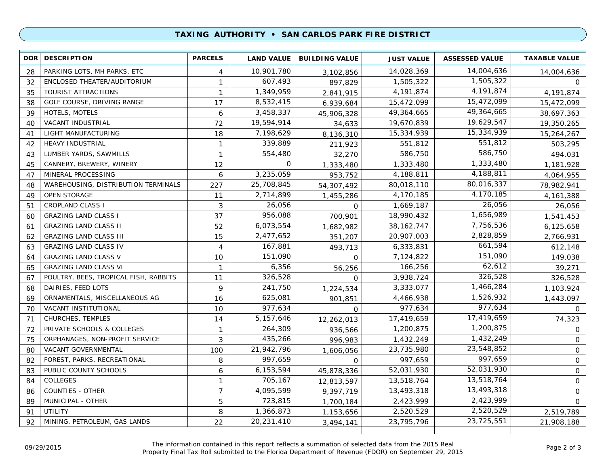#### **TAXING AUTHORITY • SAN CARLOS PARK FIRE DISTRICT**

|    | <b>DOR DESCRIPTION</b>                | <b>PARCELS</b> | <b>LAND VALUE</b> | <b>BUILDING VALUE</b> | <b>JUST VALUE</b> | <b>ASSESSED VALUE</b> | <b>TAXABLE VALUE</b> |
|----|---------------------------------------|----------------|-------------------|-----------------------|-------------------|-----------------------|----------------------|
| 28 | PARKING LOTS, MH PARKS, ETC           | 4              | 10,901,780        | 3,102,856             | 14,028,369        | 14,004,636            | 14,004,636           |
| 32 | ENCLOSED THEATER/AUDITORIUM           | $\mathbf{1}$   | 607,493           | 897,829               | 1,505,322         | 1,505,322             | $\circ$              |
| 35 | TOURIST ATTRACTIONS                   | $\mathbf{1}$   | 1,349,959         | 2,841,915             | 4, 191, 874       | 4,191,874             | 4,191,874            |
| 38 | GOLF COURSE, DRIVING RANGE            | 17             | 8,532,415         | 6,939,684             | 15,472,099        | 15,472,099            | 15,472,099           |
| 39 | HOTELS, MOTELS                        | 6              | 3,458,337         | 45,906,328            | 49,364,665        | 49,364,665            | 38,697,363           |
| 40 | VACANT INDUSTRIAL                     | 72             | 19,594,914        | 34,633                | 19,670,839        | 19,629,547            | 19,350,265           |
| 41 | LIGHT MANUFACTURING                   | 18             | 7,198,629         | 8,136,310             | 15,334,939        | 15,334,939            | 15,264,267           |
| 42 | <b>HEAVY INDUSTRIAL</b>               | $\mathbf{1}$   | 339,889           | 211,923               | 551,812           | 551,812               | 503,295              |
| 43 | LUMBER YARDS, SAWMILLS                | $\mathbf{1}$   | 554,480           | 32,270                | 586,750           | 586,750               | 494,031              |
| 45 | CANNERY, BREWERY, WINERY              | 12             | 0                 | 1,333,480             | 1,333,480         | 1,333,480             | 1,181,928            |
| 47 | MINERAL PROCESSING                    | 6              | 3,235,059         | 953,752               | 4,188,811         | 4,188,811             | 4,064,955            |
| 48 | WAREHOUSING, DISTRIBUTION TERMINALS   | 227            | 25,708,845        | 54,307,492            | 80,018,110        | 80,016,337            | 78,982,941           |
| 49 | <b>OPEN STORAGE</b>                   | 11             | 2,714,899         | 1,455,286             | 4,170,185         | 4,170,185             | 4, 161, 388          |
| 51 | <b>CROPLAND CLASS I</b>               | 3              | 26,056            | 0                     | 1,669,187         | 26,056                | 26,056               |
| 60 | <b>GRAZING LAND CLASS I</b>           | 37             | 956,088           | 700,901               | 18,990,432        | 1,656,989             | 1,541,453            |
| 61 | <b>GRAZING LAND CLASS II</b>          | 52             | 6,073,554         | 1,682,982             | 38, 162, 747      | 7,756,536             | 6,125,658            |
| 62 | <b>GRAZING LAND CLASS III</b>         | 15             | 2,477,652         | 351,207               | 20,907,003        | 2,828,859             | 2,766,931            |
| 63 | <b>GRAZING LAND CLASS IV</b>          | 4              | 167,881           | 493,713               | 6,333,831         | 661,594               | 612,148              |
| 64 | <b>GRAZING LAND CLASS V</b>           | 10             | 151,090           | $\Omega$              | 7,124,822         | 151,090               | 149,038              |
| 65 | <b>GRAZING LAND CLASS VI</b>          | $\mathbf{1}$   | 6,356             | 56,256                | 166,256           | 62,612                | 39,271               |
| 67 | POULTRY, BEES, TROPICAL FISH, RABBITS | 11             | 326,528           | $\Omega$              | 3,938,724         | 326,528               | 326,528              |
| 68 | DAIRIES, FEED LOTS                    | 9              | 241,750           | 1,224,534             | 3,333,077         | 1,466,284             | 1,103,924            |
| 69 | ORNAMENTALS, MISCELLANEOUS AG         | 16             | 625,081           | 901,851               | 4,466,938         | 1,526,932             | 1,443,097            |
| 70 | VACANT INSTITUTIONAL                  | 10             | 977,634           | $\Omega$              | 977,634           | 977,634               | $\Omega$             |
| 71 | CHURCHES, TEMPLES                     | 14             | 5,157,646         | 12,262,013            | 17,419,659        | 17,419,659            | 74,323               |
| 72 | PRIVATE SCHOOLS & COLLEGES            | $\mathbf{1}$   | 264,309           | 936,566               | 1,200,875         | 1,200,875             | $\Omega$             |
| 75 | ORPHANAGES, NON-PROFIT SERVICE        | 3              | 435,266           | 996.983               | 1,432,249         | 1,432,249             | $\mathbf 0$          |
| 80 | VACANT GOVERNMENTAL                   | 100            | 21,942,796        | 1,606,056             | 23,735,980        | 23,548,852            | $\mathbf 0$          |
| 82 | FOREST, PARKS, RECREATIONAL           | 8              | 997,659           | $\Omega$              | 997.659           | 997,659               | $\mathbf 0$          |
| 83 | PUBLIC COUNTY SCHOOLS                 | 6              | 6,153,594         | 45,878,336            | 52,031,930        | 52,031,930            | $\mathbf 0$          |
| 84 | <b>COLLEGES</b>                       | 1              | 705,167           | 12,813,597            | 13,518,764        | 13,518,764            | $\mathbf 0$          |
| 86 | <b>COUNTIES - OTHER</b>               | $\overline{7}$ | 4,095,599         | 9,397,719             | 13,493,318        | 13,493,318            | $\mathbf 0$          |
| 89 | MUNICIPAL - OTHER                     | 5              | 723,815           | 1,700,184             | 2,423,999         | 2,423,999             | $\Omega$             |
| 91 | <b>UTILITY</b>                        | 8              | 1,366,873         | 1,153,656             | 2,520,529         | 2,520,529             | 2,519,789            |
| 92 | MINING, PETROLEUM, GAS LANDS          | 22             | 20,231,410        | 3,494,141             | 23,795,796        | 23,725,551            | 21,908,188           |
|    |                                       |                |                   |                       |                   |                       |                      |

The information contained in this report reflects a summation of selected data from the 2015 Real Property Final Tax Roll submitted to the Florida Department of Revenue (FDOR) on September 29, 2015 09/29/2015 Page 2 of 3